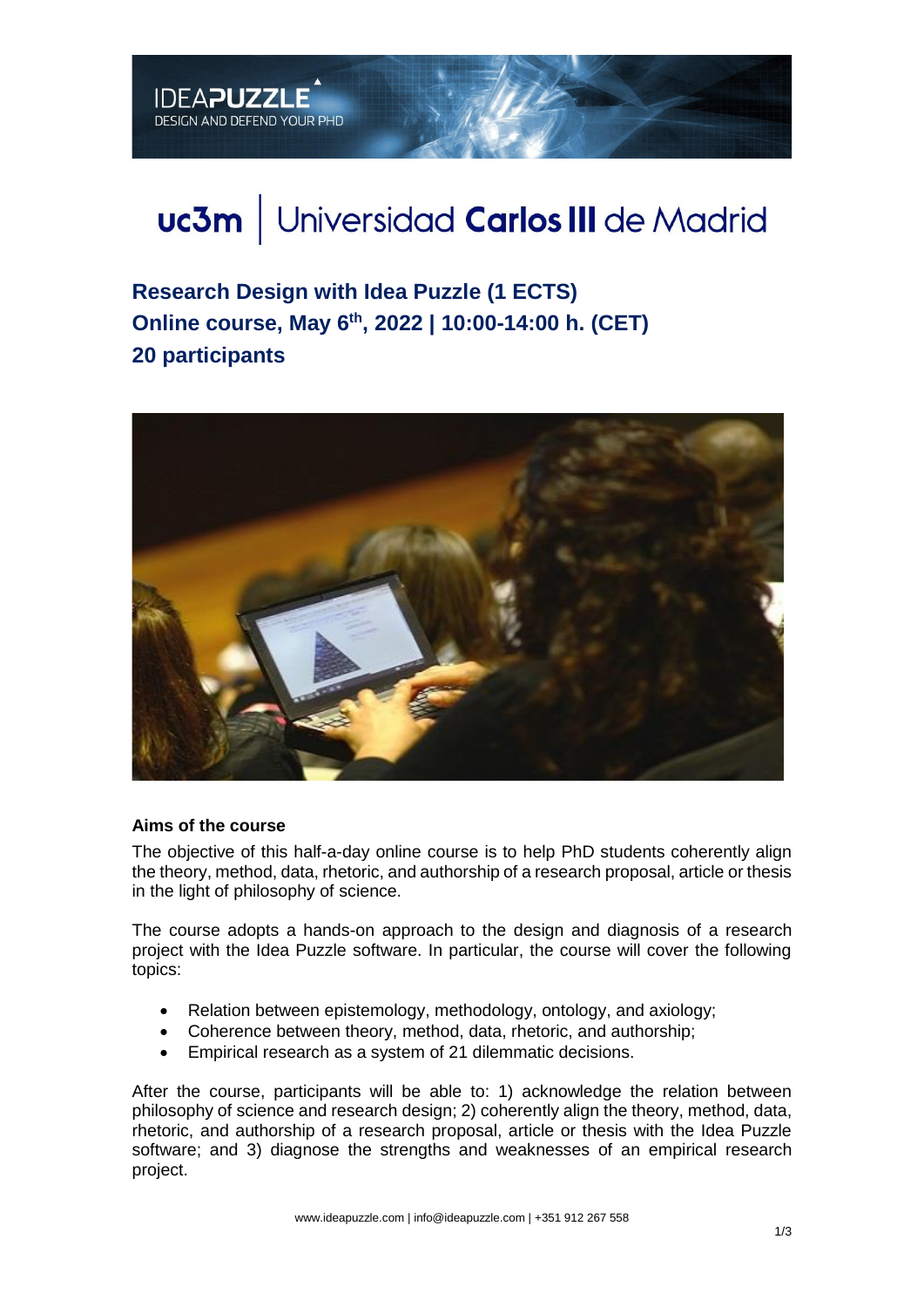# uc3m | Universidad Carlos III de Madrid

**Research Design with Idea Puzzle (1 ECTS) Online course, May 6 th, 2022 | 10:00-14:00 h. (CET) 20 participants**



### **Aims of the course**

**IDEAPUZZLE** 

DESIGN AND DEFEND YOUR PHD

The objective of this half-a-day online course is to help PhD students coherently align the theory, method, data, rhetoric, and authorship of a research proposal, article or thesis in the light of philosophy of science.

The course adopts a hands-on approach to the design and diagnosis of a research project with the Idea Puzzle software. In particular, the course will cover the following topics:

- Relation between epistemology, methodology, ontology, and axiology;
- Coherence between theory, method, data, rhetoric, and authorship;
- Empirical research as a system of 21 dilemmatic decisions.

After the course, participants will be able to: 1) acknowledge the relation between philosophy of science and research design; 2) coherently align the theory, method, data, rhetoric, and authorship of a research proposal, article or thesis with the Idea Puzzle software; and 3) diagnose the strengths and weaknesses of an empirical research project.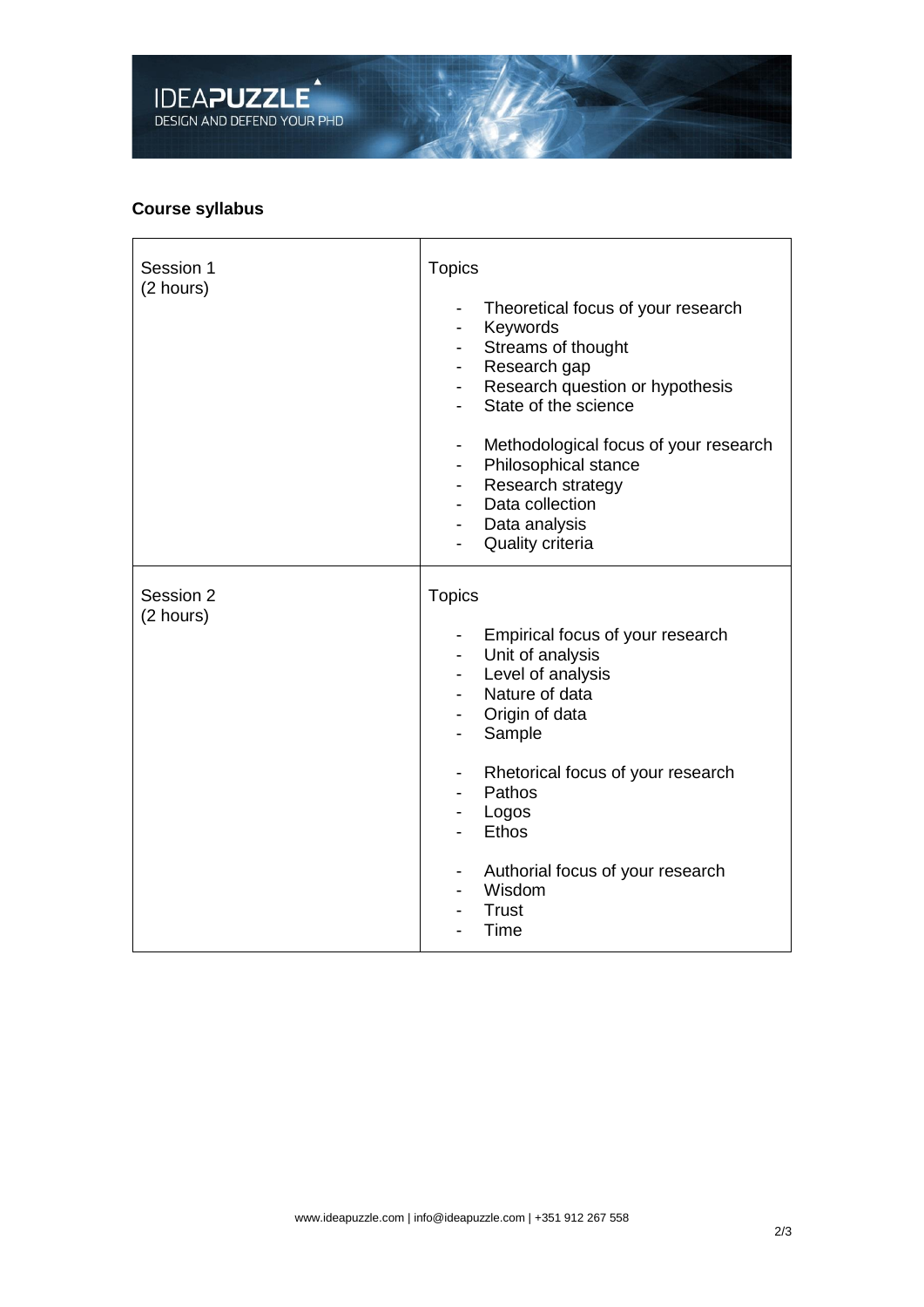

## **Course syllabus**

| Session 1<br>(2 hours) | <b>Topics</b><br>Theoretical focus of your research<br>Keywords<br>Streams of thought<br>-<br>Research gap<br>$\overline{\phantom{0}}$<br>Research question or hypothesis<br>-<br>State of the science<br>Methodological focus of your research<br>-<br>Philosophical stance<br>-<br>Research strategy<br>$\overline{\phantom{a}}$<br>Data collection<br>Data analysis<br><b>Quality criteria</b> |
|------------------------|---------------------------------------------------------------------------------------------------------------------------------------------------------------------------------------------------------------------------------------------------------------------------------------------------------------------------------------------------------------------------------------------------|
| Session 2<br>(2 hours) | <b>Topics</b><br>Empirical focus of your research<br>Unit of analysis<br>$\overline{\phantom{0}}$<br>Level of analysis<br>۰.<br>Nature of data<br>Origin of data<br>۰.<br>Sample<br>Rhetorical focus of your research<br>-<br>Pathos<br>-<br>Logos<br><b>Ethos</b><br>Authorial focus of your research<br>-<br>Wisdom<br><b>Trust</b><br>Time                                                     |